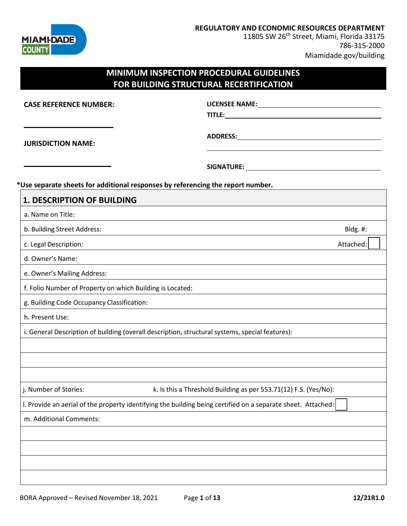

**REGULATORY AND ECONOMIC RESOURCES DEPARTMENT**

11805 SW 26<sup>th</sup> Street, Miami, Florida 33175 786-315-2000 Miamidade.gov/building

## **MINIMUM INSPECTION PROCEDURAL GUIDELINES FOR BUILDING STRUCTURAL RECERTIFICATION**

**CASE REFERENCE NUMBER:**

**LICENSEE NAME: TITLE:**

**JURISDICTION NAME:**

**ADDRESS:**

**SIGNATURE:** 

#### **\*Use separate sheets for additional responses by referencing the report number.**

| <b>1. DESCRIPTION OF BUILDING</b>                                                                            |           |
|--------------------------------------------------------------------------------------------------------------|-----------|
| a. Name on Title:                                                                                            |           |
| b. Building Street Address:                                                                                  | Bldg. #:  |
| c. Legal Description:                                                                                        | Attached: |
| d. Owner's Name:                                                                                             |           |
| e. Owner's Mailing Address:                                                                                  |           |
| f. Folio Number of Property on which Building is Located:                                                    |           |
| g. Building Code Occupancy Classification:                                                                   |           |
| h. Present Use:                                                                                              |           |
| i. General Description of building (overall description, structural systems, special features):              |           |
|                                                                                                              |           |
|                                                                                                              |           |
|                                                                                                              |           |
| j. Number of Stories:<br>k. Is this a Threshold Building as per 553.71(12) F.S. (Yes/No):                    |           |
| I. Provide an aerial of the property identifying the building being certified on a separate sheet. Attached: |           |
| m. Additional Comments:                                                                                      |           |
|                                                                                                              |           |
|                                                                                                              |           |
|                                                                                                              |           |
|                                                                                                              |           |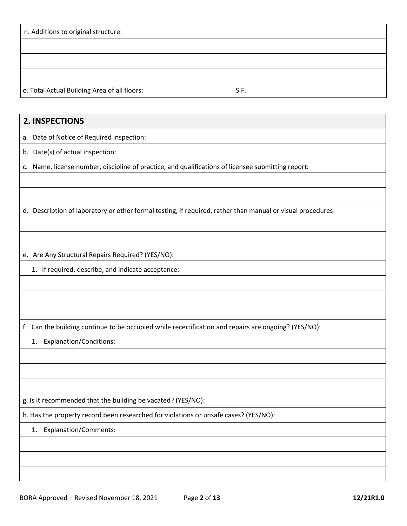| n. Additions to original structure:          |      |  |
|----------------------------------------------|------|--|
|                                              |      |  |
|                                              |      |  |
|                                              |      |  |
| o. Total Actual Building Area of all floors: | S.F. |  |

## **2. INSPECTIONS**

a. Date of Notice of Required Inspection:

b. Date(s) of actual inspection:

c. Name. license number, discipline of practice, and qualifications of licensee submitting report:

d. Description of laboratory or other formal testing, if required, rather than manual or visual procedures:

e. Are Any Structural Repairs Required? (YES/NO):

1. If required, describe, and indicate acceptance:

f. Can the building continue to be occupied while recertification and repairs are ongoing? (YES/NO):

1. Explanation/Conditions:

g. Is it recommended that the building be vacated? (YES/NO):

h. Has the property record been researched for violations or unsafe cases? (YES/NO):

#### 1. Explanation/Comments: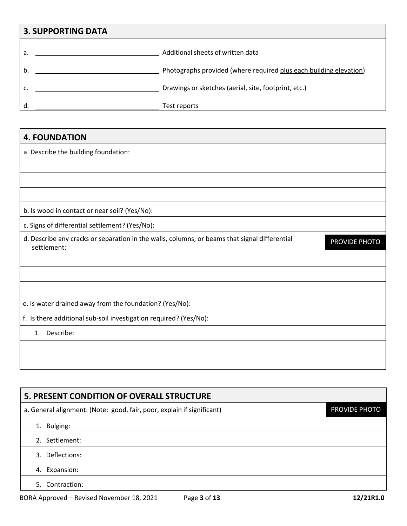| <b>3. SUPPORTING DATA</b> |                                                                    |
|---------------------------|--------------------------------------------------------------------|
| a.                        | Additional sheets of written data                                  |
| b.                        | Photographs provided (where required plus each building elevation) |
|                           | Drawings or sketches (aerial, site, footprint, etc.)               |
| d                         | Test reports                                                       |

## **4. FOUNDATION**

a. Describe the building foundation:

b. Is wood in contact or near soil? (Yes/No):

c. Signs of differential settlement? (Yes/No):

d. Describe any cracks or separation in the walls, columns, or beams that signal differential settlement:

PROVIDE PHOTO

### e. Is water drained away from the foundation? (Yes/No):

f. Is there additional sub-soil investigation required? (Yes/No):

1. Describe:

# **5. PRESENT CONDITION OF OVERALL STRUCTURE** a. General alignment: (Note: good, fair, poor, explain if significant) 1. Bulging: 2. Settlement: 3. Deflections: 4. Expansion: PROVIDE PHOTO

5. Contraction: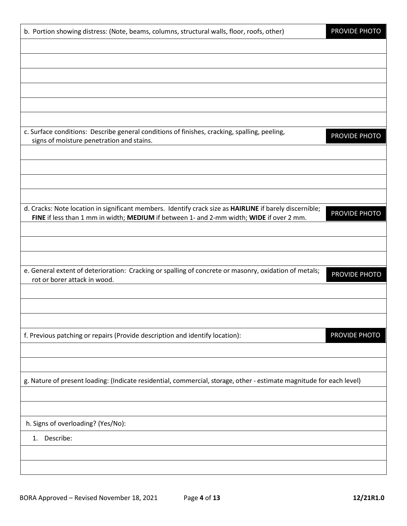| b. Portion showing distress: (Note, beams, columns, structural walls, floor, roofs, other)                                                                                                          | PROVIDE PHOTO |
|-----------------------------------------------------------------------------------------------------------------------------------------------------------------------------------------------------|---------------|
|                                                                                                                                                                                                     |               |
|                                                                                                                                                                                                     |               |
|                                                                                                                                                                                                     |               |
|                                                                                                                                                                                                     |               |
|                                                                                                                                                                                                     |               |
| c. Surface conditions: Describe general conditions of finishes, cracking, spalling, peeling,<br>signs of moisture penetration and stains.                                                           | PROVIDE PHOTO |
|                                                                                                                                                                                                     |               |
|                                                                                                                                                                                                     |               |
|                                                                                                                                                                                                     |               |
|                                                                                                                                                                                                     |               |
| d. Cracks: Note location in significant members. Identify crack size as HAIRLINE if barely discernible;<br>FINE if less than 1 mm in width; MEDIUM if between 1- and 2-mm width; WIDE if over 2 mm. | PROVIDE PHOTO |
|                                                                                                                                                                                                     |               |
|                                                                                                                                                                                                     |               |
| e. General extent of deterioration: Cracking or spalling of concrete or masonry, oxidation of metals;                                                                                               |               |
| rot or borer attack in wood.                                                                                                                                                                        | PROVIDE PHOTO |
|                                                                                                                                                                                                     |               |
|                                                                                                                                                                                                     |               |
| f. Previous patching or repairs (Provide description and identify location):                                                                                                                        | PROVIDE PHOTO |
|                                                                                                                                                                                                     |               |
| g. Nature of present loading: (Indicate residential, commercial, storage, other - estimate magnitude for each level)                                                                                |               |
|                                                                                                                                                                                                     |               |
|                                                                                                                                                                                                     |               |
| h. Signs of overloading? (Yes/No):                                                                                                                                                                  |               |
| Describe:<br>1.                                                                                                                                                                                     |               |
|                                                                                                                                                                                                     |               |
|                                                                                                                                                                                                     |               |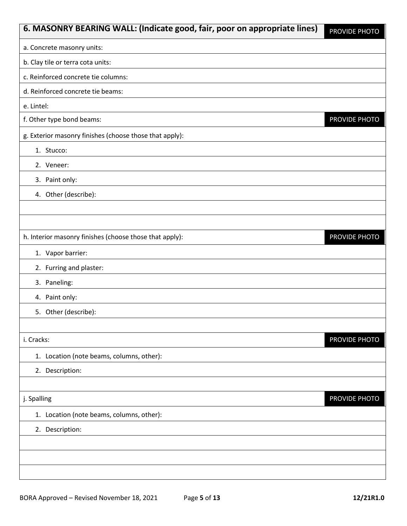| 6. MASONRY BEARING WALL: (Indicate good, fair, poor on appropriate lines) | PROVIDE PHOTO |
|---------------------------------------------------------------------------|---------------|
| a. Concrete masonry units:                                                |               |
| b. Clay tile or terra cota units:                                         |               |
| c. Reinforced concrete tie columns:                                       |               |
| d. Reinforced concrete tie beams:                                         |               |
| e. Lintel:                                                                |               |
| f. Other type bond beams:                                                 | PROVIDE PHOTO |
| g. Exterior masonry finishes (choose those that apply):                   |               |
| 1. Stucco:                                                                |               |
| 2. Veneer:                                                                |               |
| 3. Paint only:                                                            |               |
| 4. Other (describe):                                                      |               |
|                                                                           |               |
|                                                                           |               |
| h. Interior masonry finishes (choose those that apply):                   | PROVIDE PHOTO |
| 1. Vapor barrier:                                                         |               |
| 2. Furring and plaster:                                                   |               |
| 3. Paneling:                                                              |               |
| 4. Paint only:                                                            |               |
| 5. Other (describe):                                                      |               |
|                                                                           |               |
| i. Cracks:                                                                | PROVIDE PHOTO |
| 1. Location (note beams, columns, other):                                 |               |
| 2. Description:                                                           |               |
|                                                                           |               |
| j. Spalling                                                               | PROVIDE PHOTO |
| 1. Location (note beams, columns, other):                                 |               |
| 2. Description:                                                           |               |
|                                                                           |               |
|                                                                           |               |
|                                                                           |               |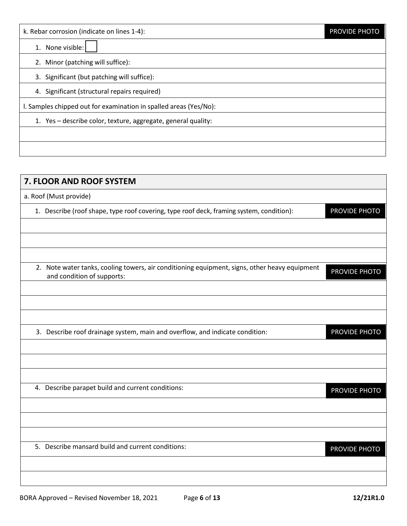1. None visible:

2. Minor (patching will suffice):

3. Significant (but patching will suffice):

4. Significant (structural repairs required)

l. Samples chipped out for examination in spalled areas (Yes/No):

1. Yes – describe color, texture, aggregate, general quality:

# **7. FLOOR AND ROOF SYSTEM** a. Roof (Must provide) 1. Describe (roof shape, type roof covering, type roof deck, framing system, condition): 2. Note water tanks, cooling towers, air conditioning equipment, signs, other heavy equipment and condition of supports: 3. Describe roof drainage system, main and overflow, and indicate condition: 4. Describe parapet build and current conditions: 5. Describe mansard build and current conditions: PROVIDE PHOTO PROVIDE PHOTO PROVIDE PHOTO PROVIDE PHOTO PROVIDE PHOTO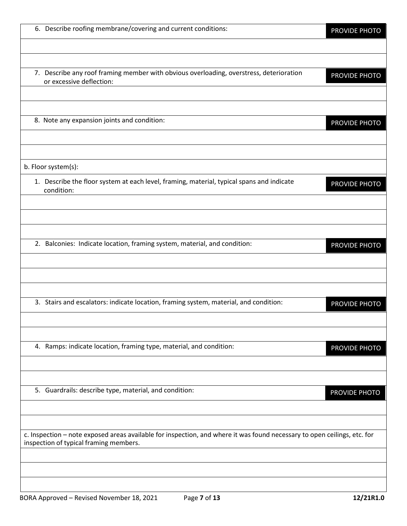| 6. Describe roofing membrane/covering and current conditions:                                                                                                      | <b>PROVIDE PHOTO</b> |
|--------------------------------------------------------------------------------------------------------------------------------------------------------------------|----------------------|
|                                                                                                                                                                    |                      |
| 7. Describe any roof framing member with obvious overloading, overstress, deterioration<br>or excessive deflection:                                                | PROVIDE PHOTO        |
| 8. Note any expansion joints and condition:                                                                                                                        | PROVIDE PHOTO        |
| b. Floor system(s):                                                                                                                                                |                      |
| 1. Describe the floor system at each level, framing, material, typical spans and indicate<br>condition:                                                            | PROVIDE PHOTO        |
| 2. Balconies: Indicate location, framing system, material, and condition:                                                                                          | PROVIDE PHOTO        |
| 3. Stairs and escalators: indicate location, framing system, material, and condition:                                                                              |                      |
|                                                                                                                                                                    | PROVIDE PHOTO        |
| 4. Ramps: indicate location, framing type, material, and condition:                                                                                                | PROVIDE PHOTO        |
| 5. Guardrails: describe type, material, and condition:                                                                                                             | PROVIDE PHOTO        |
| c. Inspection - note exposed areas available for inspection, and where it was found necessary to open ceilings, etc. for<br>inspection of typical framing members. |                      |
|                                                                                                                                                                    |                      |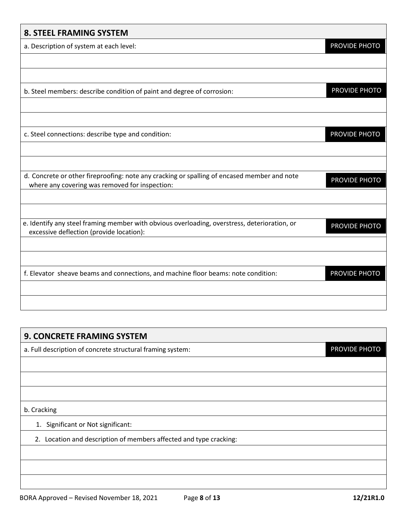### **8. STEEL FRAMING SYSTEM**

a. Description of system at each level:

| b. Steel members: describe condition of paint and degree of corrosion:                                                                        | PROVIDE PHOTO |
|-----------------------------------------------------------------------------------------------------------------------------------------------|---------------|
|                                                                                                                                               |               |
|                                                                                                                                               |               |
| c. Steel connections: describe type and condition:                                                                                            | PROVIDE PHOTO |
|                                                                                                                                               |               |
|                                                                                                                                               |               |
| d. Concrete or other fireproofing: note any cracking or spalling of encased member and note<br>where any covering was removed for inspection: | PROVIDE PHOTO |
|                                                                                                                                               |               |
|                                                                                                                                               |               |
| e. Identify any steel framing member with obvious overloading, overstress, deterioration, or                                                  | PROVIDE PHOTO |
| excessive deflection (provide location):                                                                                                      |               |
|                                                                                                                                               |               |
|                                                                                                                                               |               |
| f. Elevator sheave beams and connections, and machine floor beams: note condition:                                                            | PROVIDE PHOTO |
|                                                                                                                                               |               |
|                                                                                                                                               |               |

# **9. CONCRETE FRAMING SYSTEM** a. Full description of concrete structural framing system: b. Cracking 1. Significant or Not significant: 2. Location and description of members affected and type cracking: PROVIDE PHOTO

PROVIDE PHOTO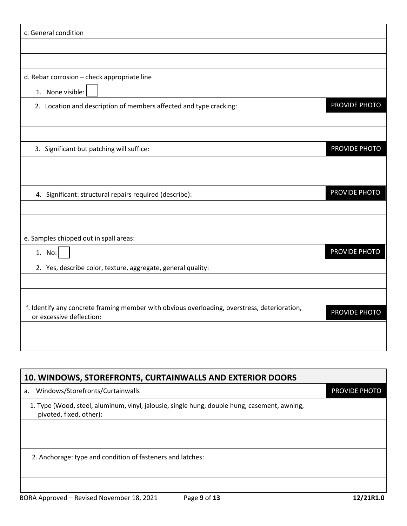| c. General condition                                                                                                     |               |
|--------------------------------------------------------------------------------------------------------------------------|---------------|
|                                                                                                                          |               |
|                                                                                                                          |               |
| d. Rebar corrosion - check appropriate line                                                                              |               |
| 1. None visible:                                                                                                         |               |
| 2. Location and description of members affected and type cracking:                                                       | PROVIDE PHOTO |
|                                                                                                                          |               |
|                                                                                                                          |               |
| 3. Significant but patching will suffice:                                                                                | PROVIDE PHOTO |
|                                                                                                                          |               |
|                                                                                                                          | PROVIDE PHOTO |
| 4. Significant: structural repairs required (describe):                                                                  |               |
|                                                                                                                          |               |
| e. Samples chipped out in spall areas:                                                                                   |               |
| 1. No:                                                                                                                   | PROVIDE PHOTO |
| 2. Yes, describe color, texture, aggregate, general quality:                                                             |               |
|                                                                                                                          |               |
|                                                                                                                          |               |
| f. Identify any concrete framing member with obvious overloading, overstress, deterioration,<br>or excessive deflection: | PROVIDE PHOTO |
|                                                                                                                          |               |
|                                                                                                                          |               |
|                                                                                                                          |               |

| 10. WINDOWS, STOREFRONTS, CURTAINWALLS AND EXTERIOR DOORS                                                               |                      |  |
|-------------------------------------------------------------------------------------------------------------------------|----------------------|--|
| Windows/Storefronts/Curtainwalls<br>a.                                                                                  | <b>PROVIDE PHOTO</b> |  |
| 1. Type (Wood, steel, aluminum, vinyl, jalousie, single hung, double hung, casement, awning,<br>pivoted, fixed, other): |                      |  |
|                                                                                                                         |                      |  |
|                                                                                                                         |                      |  |
| 2. Anchorage: type and condition of fasteners and latches:                                                              |                      |  |
|                                                                                                                         |                      |  |
|                                                                                                                         |                      |  |
| Page 9 of 13<br>BORA Approved - Revised November 18, 2021                                                               | 12/21R1.0            |  |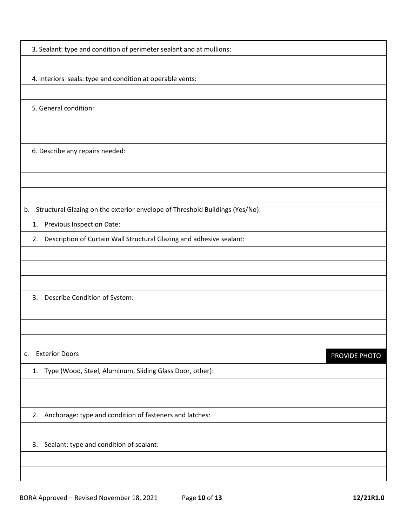3. Sealant: type and condition of perimeter sealant and at mullions:

4. Interiors seals: type and condition at operable vents:

5. General condition:

6. Describe any repairs needed:

b. Structural Glazing on the exterior envelope of Threshold Buildings (Yes/No):

1. Previous Inspection Date:

2. Description of Curtain Wall Structural Glazing and adhesive sealant:

3. Describe Condition of System:

c. Exterior Doors

PROVIDE PHOTO

1. Type (Wood, Steel, Aluminum, Sliding Glass Door, other):

2. Anchorage: type and condition of fasteners and latches:

3. Sealant: type and condition of sealant: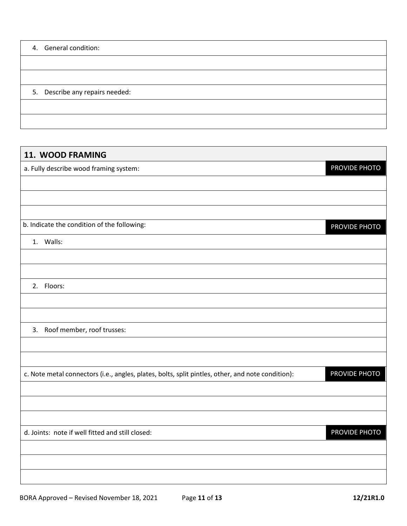| 4. General condition:           |
|---------------------------------|
|                                 |
|                                 |
| 5. Describe any repairs needed: |
|                                 |
|                                 |

| 11. WOOD FRAMING                                                                                  |               |
|---------------------------------------------------------------------------------------------------|---------------|
| a. Fully describe wood framing system:                                                            | PROVIDE PHOTO |
|                                                                                                   |               |
|                                                                                                   |               |
|                                                                                                   |               |
| b. Indicate the condition of the following:                                                       | PROVIDE PHOTO |
| 1. Walls:                                                                                         |               |
|                                                                                                   |               |
|                                                                                                   |               |
| 2. Floors:                                                                                        |               |
|                                                                                                   |               |
|                                                                                                   |               |
| 3. Roof member, roof trusses:                                                                     |               |
|                                                                                                   |               |
|                                                                                                   |               |
| c. Note metal connectors (i.e., angles, plates, bolts, split pintles, other, and note condition): | PROVIDE PHOTO |
|                                                                                                   |               |
|                                                                                                   |               |
|                                                                                                   |               |
| d. Joints: note if well fitted and still closed:                                                  | PROVIDE PHOTO |
|                                                                                                   |               |
|                                                                                                   |               |
|                                                                                                   |               |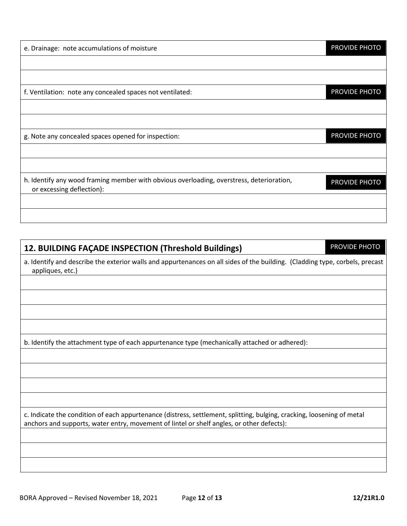| e. Drainage: note accumulations of moisture                                                                           | PROVIDE PHOTO |
|-----------------------------------------------------------------------------------------------------------------------|---------------|
|                                                                                                                       |               |
|                                                                                                                       |               |
| f. Ventilation: note any concealed spaces not ventilated:                                                             | PROVIDE PHOTO |
|                                                                                                                       |               |
|                                                                                                                       |               |
| g. Note any concealed spaces opened for inspection:                                                                   | PROVIDE PHOTO |
|                                                                                                                       |               |
|                                                                                                                       |               |
| h. Identify any wood framing member with obvious overloading, overstress, deterioration,<br>or excessing deflection): | PROVIDE PHOTO |
|                                                                                                                       |               |
|                                                                                                                       |               |

# **12. BUILDING FAÇADE INSPECTION (Threshold Buildings)**

a. Identify and describe the exterior walls and appurtenances on all sides of the building. (Cladding type, corbels, precast appliques, etc.)

b. Identify the attachment type of each appurtenance type (mechanically attached or adhered):

c. Indicate the condition of each appurtenance (distress, settlement, splitting, bulging, cracking, loosening of metal anchors and supports, water entry, movement of lintel or shelf angles, or other defects):

PROVIDE PHOTO